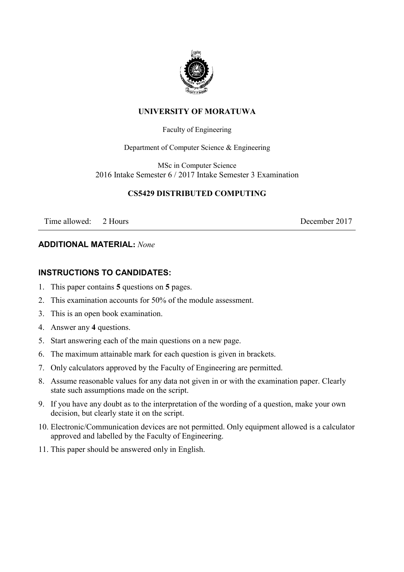

### **UNIVERSITY OF MORATUWA**

#### Faculty of Engineering

Department of Computer Science & Engineering

MSc in Computer Science 2016 Intake Semester 6 / 2017 Intake Semester 3 Examination

## **CS5429 DISTRIBUTED COMPUTING**

Time allowed: 2 Hours 2017

## **ADDITIONAL MATERIAL:** *None*

#### **INSTRUCTIONS TO CANDIDATES:**

- 1. This paper contains **5** questions on **5** pages.
- 2. This examination accounts for 50% of the module assessment.
- 3. This is an open book examination.
- 4. Answer any **4** questions.
- 5. Start answering each of the main questions on a new page.
- 6. The maximum attainable mark for each question is given in brackets.
- 7. Only calculators approved by the Faculty of Engineering are permitted.
- 8. Assume reasonable values for any data not given in or with the examination paper. Clearly state such assumptions made on the script.
- 9. If you have any doubt as to the interpretation of the wording of a question, make your own decision, but clearly state it on the script.
- 10. Electronic/Communication devices are not permitted. Only equipment allowed is a calculator approved and labelled by the Faculty of Engineering.
- 11. This paper should be answered only in English.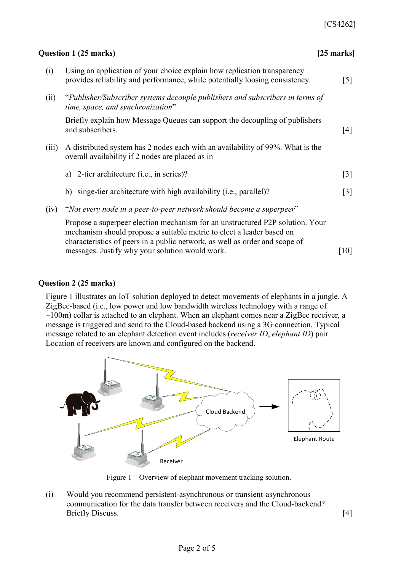| $[25$ marks]                                                                          |
|---------------------------------------------------------------------------------------|
| $[5]$                                                                                 |
| "Publisher/Subscriber systems decouple publishers and subscribers in terms of         |
| [4]                                                                                   |
|                                                                                       |
| $[3]$                                                                                 |
| $[3]$                                                                                 |
| Propose a superpeer election mechanism for an unstructured P2P solution. Your<br>[10] |
|                                                                                       |

# **Question 2 (25 marks)**

Figure 1 illustrates an IoT solution deployed to detect movements of elephants in a jungle. A ZigBee-based (i.e., low power and low bandwidth wireless technology with a range of  $\sim$ 100m) collar is attached to an elephant. When an elephant comes near a ZigBee receiver, a message is triggered and send to the Cloud-based backend using a 3G connection. Typical message related to an elephant detection event includes (*receiver ID*, *elephant ID*) pair. Location of receivers are known and configured on the backend.



Figure 1 – Overview of elephant movement tracking solution.

(i) Would you recommend persistent-asynchronous or transient-asynchronous communication for the data transfer between receivers and the Cloud-backend? Briefly Discuss. [4]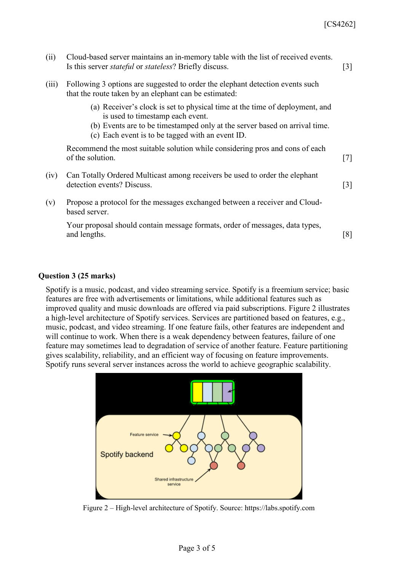| (ii)  | Cloud-based server maintains an in-memory table with the list of received events.<br>Is this server <i>stateful</i> or <i>stateless</i> ? Briefly discuss.                                                                                        | $\lceil 3 \rceil$ |
|-------|---------------------------------------------------------------------------------------------------------------------------------------------------------------------------------------------------------------------------------------------------|-------------------|
| (iii) | Following 3 options are suggested to order the elephant detection events such<br>that the route taken by an elephant can be estimated:                                                                                                            |                   |
|       | (a) Receiver's clock is set to physical time at the time of deployment, and<br>is used to timestamp each event.<br>(b) Events are to be timestamped only at the server based on arrival time.<br>(c) Each event is to be tagged with an event ID. |                   |
|       | Recommend the most suitable solution while considering pros and cons of each<br>of the solution.                                                                                                                                                  | [7]               |
| (iv)  | Can Totally Ordered Multicast among receivers be used to order the elephant<br>detection events? Discuss.                                                                                                                                         | $\lceil 3 \rceil$ |
| (v)   | Propose a protocol for the messages exchanged between a receiver and Cloud-<br>based server.                                                                                                                                                      |                   |
|       | Your proposal should contain message formats, order of messages, data types,<br>and lengths.                                                                                                                                                      | [8]               |

#### **Question 3 (25 marks)**

Spotify is a music, podcast, and video streaming service. Spotify is a freemium service; basic features are free with advertisements or limitations, while additional features such as improved quality and music downloads are offered via paid subscriptions. Figure 2 illustrates a high-level architecture of Spotify services. Services are partitioned based on features, e.g., music, podcast, and video streaming. If one feature fails, other features are independent and will continue to work. When there is a weak dependency between features, failure of one feature may sometimes lead to degradation of service of another feature. Feature partitioning gives scalability, reliability, and an efficient way of focusing on feature improvements. Spotify runs several server instances across the world to achieve geographic scalability.



Figure 2 – High-level architecture of Spotify. Source: https://labs.spotify.com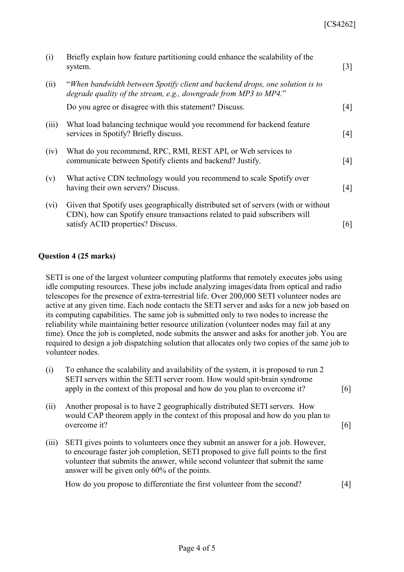| (i)     | Briefly explain how feature partitioning could enhance the scalability of the<br>system.                                                                                                              | $\lceil 3 \rceil$ |
|---------|-------------------------------------------------------------------------------------------------------------------------------------------------------------------------------------------------------|-------------------|
| (ii)    | "When bandwidth between Spotify client and backend drops, one solution is to<br>degrade quality of the stream, e.g., downgrade from MP3 to MP4."                                                      |                   |
|         | Do you agree or disagree with this statement? Discuss.                                                                                                                                                | [4]               |
| (iii)   | What load balancing technique would you recommend for backend feature<br>services in Spotify? Briefly discuss.                                                                                        | [4]               |
| (iv)    | What do you recommend, RPC, RMI, REST API, or Web services to<br>communicate between Spotify clients and backend? Justify.                                                                            | [4]               |
| (v)     | What active CDN technology would you recommend to scale Spotify over<br>having their own servers? Discuss.                                                                                            | [4]               |
| $(v_i)$ | Given that Spotify uses geographically distributed set of servers (with or without<br>CDN), how can Spotify ensure transactions related to paid subscribers will<br>satisfy ACID properties? Discuss. | [6]               |

## **Question 4 (25 marks)**

SETI is one of the largest volunteer computing platforms that remotely executes jobs using idle computing resources. These jobs include analyzing images/data from optical and radio telescopes for the presence of extra-terrestrial life. Over 200,000 SETI volunteer nodes are active at any given time. Each node contacts the SETI server and asks for a new job based on its computing capabilities. The same job is submitted only to two nodes to increase the reliability while maintaining better resource utilization (volunteer nodes may fail at any time). Once the job is completed, node submits the answer and asks for another job. You are required to design a job dispatching solution that allocates only two copies of the same job to volunteer nodes.

- (i) To enhance the scalability and availability of the system, it is proposed to run 2 SETI servers within the SETI server room. How would spit-brain syndrome apply in the context of this proposal and how do you plan to overcome it? [6]
- (ii) Another proposal is to have 2 geographically distributed SETI servers. How would CAP theorem apply in the context of this proposal and how do you plan to overcome it? [6]
- (iii) SETI gives points to volunteers once they submit an answer for a job. However, to encourage faster job completion, SETI proposed to give full points to the first volunteer that submits the answer, while second volunteer that submit the same answer will be given only 60% of the points.

How do you propose to differentiate the first volunteer from the second? [4]